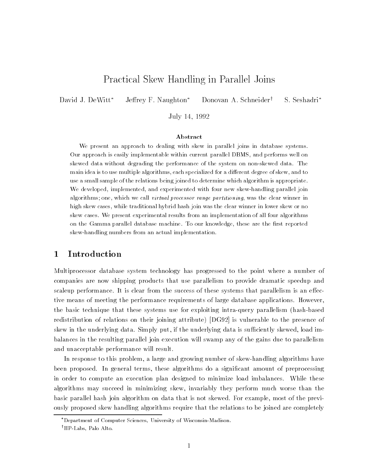# Practical Skew Handling in Parallel Joins

David J. DeWitt\* Jeffrey F. Naughton\* Donovan A. Schneider<sup>†</sup> S. Seshadri<sup>\*</sup>

July 14, 1992

#### Abstract

We present an approach to dealing with skew in parallel joins in database systems.Our approach is easily implementable within current parallel DBMS, and performs well onskewed data without degrading the performance of the system on non-skewed data. Themain idea is to use multiple algorithms, each specialized for a different degree of skew, and to use a small sample of the relations being joined to determine which algorithm is appropriate.We developed, implemented, and experimented with four new skew-handling parallel joinalgorithms; one, which we call virtual processor range partitioning, was the clear winner in high skew cases, while traditional hybrid hash join was the clear winner in lower skew or noskew cases. We present experimental results from an implementation of all four algorithmson the Gamma parallel database machine. To our knowledge, these are the first reported skew-handling numbers from an actual implementation.

# 1 Introduction

Multiprocessor database system technology has progressed to the point where a number of companies are now shipping products that use parallelism to provide dramatic speedup and scaleup performance. It is clear from the success of these systems that parallelism is an effective means of meeting the performance requirements of large database applications. However, the basic technique that these systems use for exploiting intra-query parallelism (hash-based redistribution of relations on their joining attribute) [DG92] is vulnerable to the presence of skew in the underlying data. Simply put, if the underlying data is sufficiently skewed, load imbalances in the resulting parallel join execution will swamp any of the gains due to parallelism and unacceptable performance will result.

In response to this problem, a large and growing number of skew-handling algorithms have been proposed. In general terms, these algorithms do a significant amount of preprocessing in order to compute an execution plan designed to minimize load imbalances. While these algorithms may succeed in minimizing skew, invariably they perform much worse than the basic parallel hash join algorithm on data that is not skewed. For example, most of the previously proposed skew handling algorithms require that the relations to be joined are completely

Department of Computer Sciences, University of Wisconsin-Madison.

<sup>&</sup>lt;sup>†</sup>HP-Labs, Palo Alto.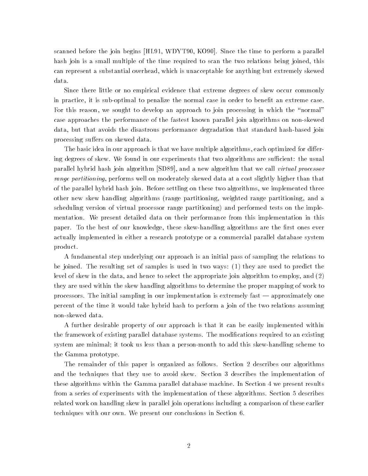scanned before the join begins [HL91, WDYT90, KO90]. Since the time to perform a parallel hash join is a small multiple of the time required to scan the two relations being joined, this can represent a substantial overhead, which is unacceptable for anything but extremely skewed data.

Since there little or no empirical evidence that extreme degrees of skew occur commonly in practice, it is sub-optimal to penalize the normal case in order to benefit an extreme case. For this reason, we sought to develop an approach to join processing in which the "normal" case approaches the performance of the fastest known parallel join algorithms on non-skewed data, but that avoids the disastrous performance degradation that standard hash-based join processing suffers on skewed data.

The basic idea in our approach is that we have multiple algorithms, each optimized for differing degrees of skew. We found in our experiments that two algorithms are sufficient: the usual parallel hybrid hash join algorithm [SD89], and a new algorithm that we call virtual processor range partitioning, performs well on moderately skewed data at a cost slightly higher than that of the parallel hybrid hash join. Before settling on these two algorithms, we implemented three other new skew handling algorithms (range partitioning, weighted range partitioning, and a scheduling version of virtual processor range partitioning) and performed tests on the implementation. We present detailed data on their performance from this implementation in this paper. To the best of our knowledge, these skew-handling algorithms are the first ones ever actually implemented in either a research prototype or a commercial parallel database system product.

A fundamental step underlying our approach is an initial pass of sampling the relations to be joined. The resulting set of samples is used in two ways: (1) they are used to predict the level of skew in the data, and hence to select the appropriate join algorithm to employ, and (2) they are used within the skew handling algorithms to determine the proper mapping of work to processors. The initial sampling in our implementation is extremely fast — approximately one percent of the time it would take hybrid hash to perform a join of the two relations assuming non-skewed data.

A further desirable property of our approach is that it can be easily implemented within the framework of existing parallel database systems. The modifications required to an existing system are minimal; it took us less than a person-month to add this skew-handling scheme to the Gamma prototype.

The remainder of this paper is organized as follows. Section 2 describes our algorithms and the techniques that they use to avoid skew. Section 3 describes the implementation of these algorithms within the Gamma parallel database machine. In Section 4 we present results from a series of experiments with the implementation of these algorithms. Section 5 describes related work on handling skew in parallel join operations including a comparison of these earlier techniques with our own. We present our conclusions in Section 6.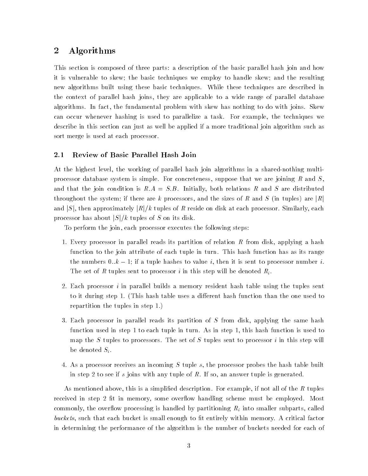# 2 Algorithms

This section is composed of three parts: a description of the basic parallel hash join and how it is vulnerable to skew; the basic techniques we employ to handle skew; and the resulting new algorithms built using these basic techniques. While these techniques are described in the context of parallel hash joins, they are applicable to a wide range of parallel database algorithms. In fact, the fundamental problem with skew has nothing to do with joins. Skew can occur whenever hashing is used to parallelize a task. For example, the techniques we describe in this section can just as well be applied if a more traditional join algorithm such as sort merge is used at each processor.

### 2.1 Review of Basic Parallel Hash Join

At the highest level, the working of parallel hash join algorithms in a shared-nothing multiprocessor database system is simple. For concreteness, suppose that we are joining R and S. and that the join condition is  $R.A = S.B.$  Initially, both relations R and S are distributed throughout the system; if there are k processors, and the sizes of R and S (in tuples) are  $|R|$ and |S|, then approximately  $|R|/k$  tuples of R reside on disk at each processor. Similarly, each processor has about  $|S|/k$  tuples of S on its disk.

To perform the join, each processor executes the following steps:

- 1. Every processor in parallel reads its partition of relation R from disk, applying a hash function to the join attribute of each tuple in turn. This hash function has as its range the numbers  $0..k - 1$ ; if a tuple hashes to value i, then it is sent to processor number i. The set of R tuples sent to processor i in this step will be denoted  $R_i$ .
- 2. Each processor i in parallel builds a memory resident hash table using the tuples sent to it during step 1. (This hash table uses a different hash function than the one used to repartition the tuples in step 1.)
- 3. Each processor in parallel reads its partition of S from disk, applying the same hash function used in step 1 to each tuple in turn. As in step 1, this hash function is used to map the  $S$  tuples to processors. The set of  $S$  tuples sent to processor  $i$  in this step will be denoted  $S_i$ .
- 4. As a processor receives an incoming S tuple s, the processor probes the hash table built in step 2 to see if s joins with any tuple of R. If so, an answer tuple is generated.

As mentioned above, this is a simplified description. For example, if not all of the  $R$  tuples received in step 2 fit in memory, some overflow handling scheme must be employed. Most commonly, the overflow processing is handled by partitioning  $R_i$  into smaller subparts, called buckets, such that each bucket is small enough to fit entirely within memory. A critical factor in determining the performance of the algorithm is the number of buckets needed for each of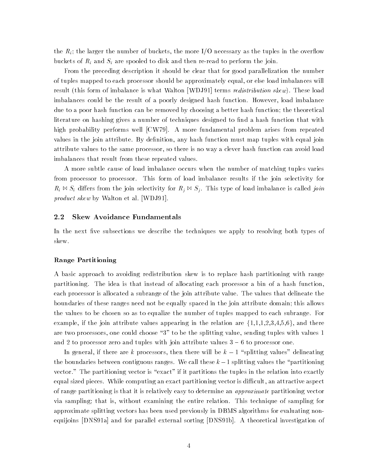the  $R_i$ ; the larger the number of buckets, the more I/O necessary as the tuples in the overflow buckets of  $R_i$  and  $S_i$  are spooled to disk and then re-read to perform the join.

From the preceding description it should be clear that for good parallelization the number of tuples mapped to each processor should be approximately equal, or else load imbalances will result (this form of imbalance is what Walton [WDJ91] terms *redistribution skew*). These load imbalances could be the result of a poorly designed hash function. However, load imbalance due to a poor hash function can be removed by choosing a better hash function; the theoretical literature on hashing gives a number of techniques designed to find a hash function that with high probability performs well [CW79]. A more fundamental problem arises from repeated values in the join attribute. By definition, any hash function must map tuples with equal join attribute values to the same processor, so there is no way a clever hash function can avoid load imbalances that result from these repeated values.

A more subtle cause of load imbalance occurs when the number of matching tuples varies from processor to processor. This form of load imbalance results if the join selectivity for  $R_i \bowtie S_i$  differs from the join selectivity for  $R_j \bowtie S_j$ . This type of load imbalance is called join product skew by Walton et al. [WDJ91].

#### 2.2 Skew Avoidance Fundamentals

In the next five subsections we describe the techniques we apply to resolving both types of skew.

#### Range Partitioning

A basic approach to avoiding redistribution skew is to replace hash partitioning with range partitioning. The idea is that instead of allocating each processor a bin of a hash function, each processor is allocated a subrange of the join attribute value. The values that delineate the boundaries of these ranges need not be equally spaced in the join attribute domain; this allows the values to be chosen so as to equalize the number of tuples mapped to each subrange. For example, if the join attribute values appearing in the relation are  $\{1,1,1,2,3,4,5,6\}$ , and there are two processors, one could choose "3" to be the splitting value, sending tuples with values 1 and 2 to processor zero and tuples with join attribute values  $3 - 6$  to processor one.

In general, if there are k processors, then there will be  $k - 1$  "splitting values" delineating the boundaries between contiguous ranges. We call these  $k-1$  splitting values the "partitioning vector." The partitioning vector is "exact" if it partitions the tuples in the relation into exactly equal sized pieces. While computing an exact partitioning vector is difficult, an attractive aspect of range partitioning is that it is relatively easy to determine an *approximate* partitioning vector via sampling; that is, without examining the entire relation. This technique of sampling for approximate splitting vectors has been used previously in DBMS algorithms for evaluating nonequijoins [DNS91a] and for parallel external sorting [DNS91b]. A theoretical investigation of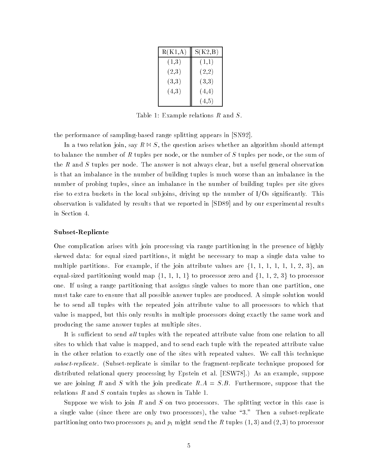| R(K1,A) | S(K2,B) |
|---------|---------|
| (1,3)   | (1,1)   |
| (2,3)   | (2,2)   |
| (3,3)   | (3,3)   |
| (4,3)   | (4,4)   |
|         | (4, 5)  |

Table 1: Example relations R and S.

the performance of sampling-based range splitting appears in [SN92].

In a two relation join, say  $R \bowtie S$ , the question arises whether an algorithm should attempt to balance the number of R tuples per node, or the number of S tuples per node, or the sum of the  $R$  and  $S$  tuples per node. The answer is not always clear, but a useful general observation is that an imbalance in the number of building tuples is much worse than an imbalance in the number of probing tuples, since an imbalance in the number of building tuples per site gives rise to extra buckets in the local subjoins, driving up the number of  $I/Os$  significantly. This observation is validated by results that we reported in [SD89] and by our experimental results in Section 4.

#### Subset-Replicate

One complication arises with join processing via range partitioning in the presence of highly skewed data: for equal sized partitions, it might be necessary to map a single data value to multiple partitions. For example, if the join attribute values are  $\{1, 1, 1, 1, 1, 1, 2, 3\}$ , an equal-sized partitioning would map  $\{1, 1, 1, 1\}$  to processor zero and  $\{1, 1, 2, 3\}$  to processor one. If using a range partitioning that assigns single values to more than one partition, one must take care to ensure that all possible answer tuples are produced. A simple solution would be to send all tuples with the repeated join attribute value to all processors to which that value is mapped, but this only results in multiple processors doing exactly the same work and producing the same answer tuples at multiple sites.

It is sufficient to send all tuples with the repeated attribute value from one relation to all sites to which that value is mapped, and to send each tuple with the repeated attribute value in the other relation to exactly one of the sites with repeated values. We call this technique subset-replicate. (Subset-replicate is similar to the fragment-replicate technique proposed for distributed relational query processing by Epstein et al. [ESW78].) As an example, suppose we are joining R and S with the join predicate  $R.A = S.B.$  Furthermore, suppose that the relations R and S contain tuples as shown in Table 1.

Suppose we wish to join  $R$  and  $S$  on two processors. The splitting vector in this case is a single value (since there are only two processors), the value \3." Then a subset-replicate partitioning onto two processors  $p_0$  and  $p_1$  might send the  $R$  tuples  $(1,3)$  and  $(2,3)$  to processor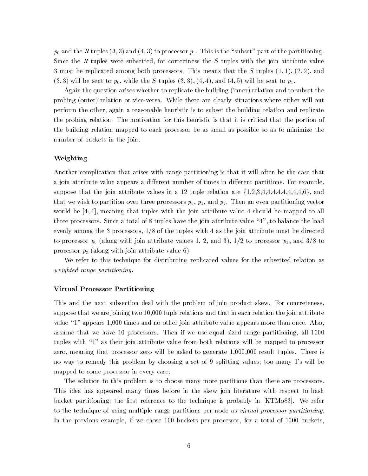$p_0$  and the R tuples (3,3) and (4,3) to processor  $p_1$ . This is the "subset" part of the partitioning. Since the R tuples were subsetted, for correctness the S tuples with the join attribute value 3 must be replicated among both processors. This means that the S tuples  $(1,1)$ ,  $(2,2)$ , and  $(3,3)$  will be sent to  $p_0$ , while the S tuples  $(3,3)$ ,  $(4,4)$ , and  $(4,5)$  will be sent to  $p_1$ .

Again the question arises whether to replicate the building (inner) relation and to subset the probing (outer) relation or vice-versa. While there are clearly situations where either will out perform the other, again a reasonable heuristic is to subset the building relation and replicate the probing relation. The motivation for this heuristic is that it is critical that the portion of the building relation mapped to each processor be as small as possible so as to minimize the number of buckets in the join.

### Weighting

Another complication that arises with range partitioning is that it will often be the case that a join attribute value appears a different number of times in different partitions. For example, suppose that the join attribute values in a 12 tuple relation are  $\{1,2,3,4,4,4,4,4,4,4,4,6\}$ , and that we wish to partition over three processors  $p_0, p_1$ , and  $p_2$ . Then an even partitioning vector would be [4, 4], meaning that tuples with the join attribute value 4 should be mapped to all three processors. Since a total of 8 tuples have the join attribute value \4", to balance the load evenly among the 3 processors, 1/8 of the tuples with 4 as the join attribute must be directed to processor  $p_0$  (along with join attribute values 1, 2, and 3),  $1/2$  to processor  $p_1$ , and  $3/8$  to processor  $p_2$  (along with join attribute value 6).

We refer to this technique for distributing replicated values for the subsetted relation as weighted range partitioning.

#### Virtual Processor Partitioning

This and the next subsection deal with the problem of join product skew. For concreteness, suppose that we are joining two 10,000 tuple relations and that in each relation the join attribute value "1" appears 1,000 times and no other join attribute value appears more than once. Also, assume that we have 10 processors. Then if we use equal sized range partitioning, all 1000 tuples with \1" as their join attribute value from both relations will be mapped to processor zero, meaning that processor zero will be asked to generate 1,000,000 result tuples. There is no way to remedy this problem by choosing a set of 9 splitting values; too many 1's will be mapped to some processor in every case.

The solution to this problem is to choose many more partitions than there are processors. This idea has appeared many times before in the skew join literature with respect to hash bucket partitioning; the first reference to the technique is probably in [KTMo83]. We refer to the technique of using multiple range partitions per node as virtual processor partitioning. In the previous example, if we chose 100 buckets per processor, for a total of 1000 buckets,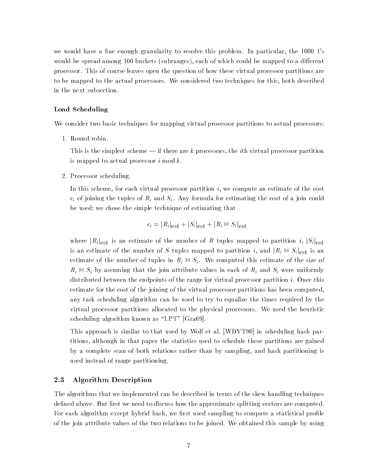we would have a fine enough granularity to resolve this problem. In particular, the  $1000$  1's would be spread among 100 buckets (subranges), each of which could be mapped to a different processor. This of course leaves open the question of how these virtual processor partitions are to be mapped to the actual processors. We considered two techniques for this, both described in the next subsection.

### Load Scheduling

We consider two basic techniques for mapping virtual processor partitions to actual processors:

1. Round robin.

This is the simplest scheme  $-$  if there are k processors, the *i*th virtual processor partition is mapped to actual processor  $i \mod k$ .

2. Processor scheduling.

In this scheme, for each virtual processor partition  $i$ , we compute an estimate of the cost  $c_i$  of joining the tuples of  $R_i$  and  $S_i$ . Any formula for estimating the cost of a join could be used; we chose the simple technique of estimating that

$$
c_i = |R_i|_{\text{est}} + |S_i|_{\text{est}} + |R_i \bowtie S_i|_{\text{est}}
$$

where  $|R_i|_{est}$  is an estimate of the number of R tuples mapped to partition i,  $|S_i|_{est}$ is an estimate of the number of S tuples mapped to partition i, and  $|R_i \bowtie S_i|_{est}$  is an estimate of the number of tuples in  $R_i \bowtie S_i$ . We computed this estimate of the size of  $R_i \bowtie S_i$  by assuming that the join attribute values in each of  $R_i$  and  $S_i$  were uniformly distributed between the endpoints of the range for virtual processor partition  $i$ . Once this estimate for the cost of the joining of the virtual processor partitions has been computed, any task scheduling algorithm can be used to try to equalize the times required by the virtual processor partitions allocated to the physical processors. We used the heuristic scheduling algorithm known as "LPT" [Gra69].

This approach is similar to that used by Wolf et al. [WDYT90] in scheduling hash partitions, although in that paper the statistics used to schedule these partitions are gained by a complete scan of both relations rather than by sampling, and hash partitioning is used instead of range partitioning.

### 2.3 Algorithm Description

The algorithms that we implemented can be described in terms of the skew handling techniques defined above. But first we need to discuss how the approximate splitting vectors are computed. For each algorithm except hybrid hash, we first used sampling to compute a statistical profile of the join attribute values of the two relations to be joined. We obtained this sample by using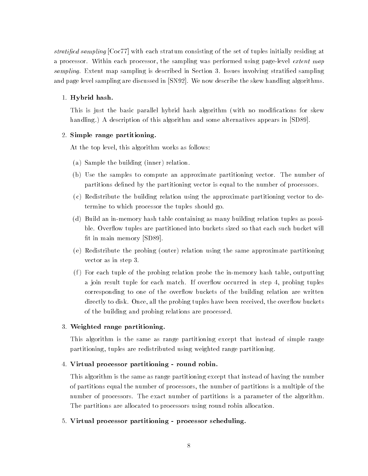stratied sampling [Coc77] with each stratum consisting of the set of tuples initially residing at a processor. Within each processor, the sampling was performed using page-level *extent map* sampling. Extent map sampling is described in Section 3. Issues involving stratified sampling and page level sampling are discussed in [SN92]. We now describe the skew handling algorithms.

### 1. Hybrid hash.

This is just the basic parallel hybrid hash algorithm (with no modifications for skew handling.) A description of this algorithm and some alternatives appears in [SD89].

### 2. Simple range partitioning.

At the top level, this algorithm works as follows:

- (a) Sample the building (inner) relation.
- (b) Use the samples to compute an approximate partitioning vector. The number of partitions defined by the partitioning vector is equal to the number of processors.
- (c) Redistribute the building relation using the approximate partitioning vector to determine to which processor the tuples should go.
- (d) Build an in-memory hash table containing as many building relation tuples as possible. Overflow tuples are partitioned into buckets sized so that each such bucket will fit in main memory [SD89].
- (e) Redistribute the probing (outer) relation using the same approximate partitioning vector as in step 3.
- $(f)$  For each tuple of the probing relation probe the in-memory hash table, outputting a join result tuple for each match. If overflow occurred in step 4, probing tuples corresponding to one of the overflow buckets of the building relation are written directly to disk. Once, all the probing tuples have been received, the overflow buckets of the building and probing relations are processed.

### 3. Weighted range partitioning.

This algorithm is the same as range partitioning except that instead of simple range partitioning, tuples are redistributed using weighted range partitioning.

### 4. Virtual processor partitioning - round robin.

This algorithm is the same as range partitioning except that instead of having the number of partitions equal the number of processors, the number of partitions is a multiple of the number of processors. The exact number of partitions is a parameter of the algorithm. The partitions are allocated to processors using round robin allocation.

### 5. Virtual processor partitioning - processor scheduling.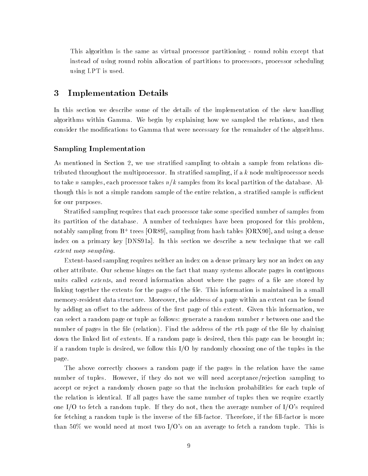This algorithm is the same as virtual processor partitioning - round robin except that instead of using round robin allocation of partitions to processors, processor scheduling using LPT is used.

# 3 Implementation Details

In this section we describe some of the details of the implementation of the skew handling algorithms within Gamma. We begin by explaining how we sampled the relations, and then consider the modications to Gamma that were necessary for the remainder of the algorithms.

### Sampling Implementation

As mentioned in Section 2, we use stratied sampling to obtain a sample from relations distributed throughout the multiprocessor. In stratified sampling, if a k node multiprocessor needs to take n samples, each processor takes  $n/k$  samples from its local partition of the database. Although this is not a simple random sample of the entire relation, a stratified sample is sufficient for our purposes.

Stratied sampling requires that each processor take some specied number of samples from its partition of the database. A number of techniques have been proposed for this problem, notably sampling from B+ trees  $\vert\mathsf{U}\,\mathsf{K}\circ\mathsf{y}\vert,$  sampling from hash tables  $\vert\mathsf{U}\,\mathsf{K}\,\mathsf{X}\mathsf{y}\mathsf{U}\vert,$  and using a dense index on a primary key [DNS91a]. In this section we describe a new technique that we call extent map sampling.

Extent-based sampling requires neither an index on a dense primary key nor an index on any other attribute. Our scheme hinges on the fact that many systems allocate pages in contiguous units called *extents*, and record information about where the pages of a file are stored by linking together the extents for the pages of the file. This information is maintained in a small memory-resident data structure. Moreover, the address of a page within an extent can be found by adding an offset to the address of the first page of this extent. Given this information, we can select a random page or tuple as follows: generate a random number  $r$  between one and the number of pages in the file (relation). Find the address of the  $r$ th page of the file by chaining down the linked list of extents. If a random page is desired, then this page can be brought in; if a random tuple is desired, we follow this I/O by randomly choosing one of the tuples in the page.

The above correctly chooses a random page if the pages in the relation have the same number of tuples. However, if they do not we will need acceptance/rejection sampling to accept or reject a randomly chosen page so that the inclusion probabilities for each tuple of the relation is identical. If all pages have the same number of tuples then we require exactly one I/O to fetch a random tuple. If they do not, then the average number of I/O's required for fetching a random tuple is the inverse of the fill-factor. Therefore, if the fill-factor is more than 50% we would need at most two  $I/O$ 's on an average to fetch a random tuple. This is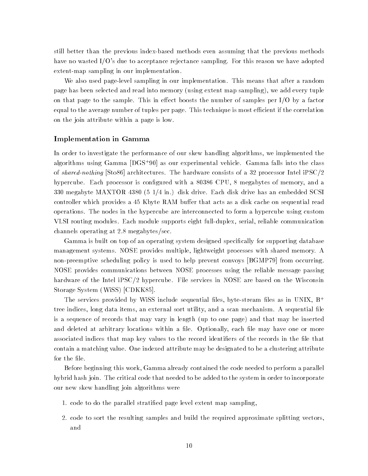still better than the previous index-based methods even assuming that the previous methods have no wasted I/O's due to acceptance rejectance sampling. For this reason we have adopted extent-map sampling in our implementation.

We also used page-level sampling in our implementation. This means that after a random page has been selected and read into memory (using extent map sampling), we add every tuple on that page to the sample. This in effect boosts the number of samples per  $I/O$  by a factor equal to the average number of tuples per page. This technique is most efficient if the correlation on the join attribute within a page is low.

### Implementation in Gamma

In order to investigate the performance of our skew handling algorithms, we implemented the algorithms using Gamma |DGS+90| as our experimental vehicle. Gamma falls into the class of shared-nothing [Sto86] architectures. The hardware consists of a 32 processor Intel iPSC/2 hypercube. Each processor is configured with a 80386 CPU, 8 megabytes of memory, and a 330 megabyte MAXTOR 4380 (5 1/4 in.) disk drive. Each disk drive has an embedded SCSI controller which provides a 45 Kbyte RAM buffer that acts as a disk cache on sequential read operations. The nodes in the hypercube are interconnected to form a hypercube using custom VLSI routing modules. Each module supports eight full-duplex, serial, reliable communication channels operating at 2.8 megabytes/sec.

Gamma is built on top of an operating system designed specically for supporting database management systems. NOSE provides multiple, lightweight processes with shared memory. A non-preemptive scheduling policy is used to help prevent convoys [BGMP79] from occurring. NOSE provides communications between NOSE processes using the reliable message passing hardware of the Intel iPSC/2 hypercube. File services in NOSE are based on the Wisconsin Storage System (WiSS) [CDKK85].

The services provided by WiSS include sequential files, byte-stream files as in UNIX,  $B^+$ tree indices, long data items, an external sort utility, and a scan mechanism. A sequential file is a sequence of records that may vary in length (up to one page) and that may be inserted and deleted at arbitrary locations within a file. Optionally, each file may have one or more associated indices that map key values to the record identifiers of the records in the file that contain a matching value. One indexed attribute may be designated to be a clustering attribute for the file.

Before beginning this work, Gamma already contained the code needed to perform a parallel hybrid hash join. The critical code that needed to be added to the system in order to incorporate our new skew handling join algorithms were

- 1. code to do the parallel stratied page level extent map sampling,
- 2. code to sort the resulting samples and build the required approximate splitting vectors, and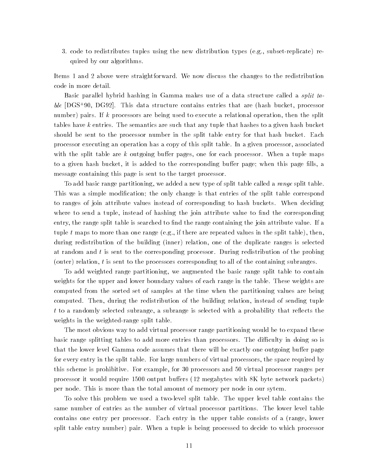3. code to redistributes tuples using the new distribution types (e.g., subset-replicate) required by our algorithms.

Items 1 and 2 above were straightforward. We now discuss the changes to the redistribution code in more detail.

Basic parallel hybrid hashing in Gamma makes use of a data structure called a split table [DGS+ 90, DG92]. This data structure contains entries that are (hash bucket, processor number) pairs. If k processors are being used to execute a relational operation, then the split tables have k entries. The semantics are such that any tuple that hashes to a given hash bucket should be sent to the processor number in the split table entry for that hash bucket. Each processor executing an operation has a copy of this split table. In a given processor, associated with the split table are k outgoing buffer pages, one for each processor. When a tuple maps to a given hash bucket, it is added to the corresponding buffer page; when this page fills, a message containing this page is sent to the target processor.

To add basic range partitioning, we added a new type of split table called a range split table. This was a simple modication; the only change is that entries of the split table correspond to ranges of join attribute values instead of corresponding to hash buckets. When deciding where to send a tuple, instead of hashing the join attribute value to find the corresponding entry, the range split table is searched to find the range containing the join attribute value. If a tuple t maps to more than one range (e.g., if there are repeated values in the split table), then, during redistribution of the building (inner) relation, one of the duplicate ranges is selected at random and t is sent to the corresponding processor. During redistribution of the probing (outer) relation, t is sent to the processors corresponding to all of the containing subranges.

To add weighted range partitioning, we augmented the basic range split table to contain weights for the upper and lower boundary values of each range in the table. These weights are computed from the sorted set of samples at the time when the partitioning values are being computed. Then, during the redistribution of the building relation, instead of sending tuple  $t$  to a randomly selected subrange, a subrange is selected with a probability that reflects the weights in the weighted-range split table.

The most obvious way to add virtual processor range partitioning would be to expand these basic range splitting tables to add more entries than processors. The difficulty in doing so is that the lower level Gamma code assumes that there will be exactly one outgoing buffer page for every entry in the split table. For large numbers of virtual processors, the space required by this scheme is prohibitive. For example, for 30 processors and 50 virtual processor ranges per processor it would require 1500 output buffers (12 megabytes with 8K byte network packets) per node. This is more than the total amount of memory per node in our sytem.

To solve this problem we used a two-level split table. The upper level table contains the same number of entries as the number of virtual processor partitions. The lower level table contains one entry per processor. Each entry in the upper table consists of a (range, lower split table entry number) pair. When a tuple is being processed to decide to which processor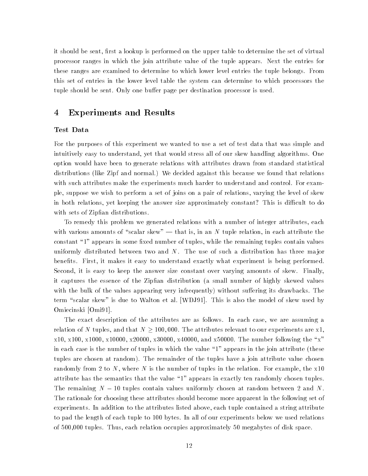it should be sent, first a lookup is performed on the upper table to determine the set of virtual processor ranges in which the join attribute value of the tuple appears. Next the entries for these ranges are examined to determine to which lower level entries the tuple belongs. From this set of entries in the lower level table the system can determine to which processors the tuple should be sent. Only one buffer page per destination processor is used.

# 4 Experiments and Results

#### Test Data

For the purposes of this experiment we wanted to use a set of test data that was simple and intuitively easy to understand, yet that would stress all of our skew handling algorithms. One option would have been to generate relations with attributes drawn from standard statistical distributions (like Zipf and normal.) We decided against this because we found that relations with such attributes make the experiments much harder to understand and control. For example, suppose we wish to perform a set of joins on a pair of relations, varying the level of skew in both relations, yet keeping the answer size approximately constant? This is difficult to do with sets of Zipfian distributions.

To remedy this problem we generated relations with a number of integer attributes, each with various amounts of "scalar skew"  $-$  that is, in an N tuple relation, in each attribute the constant "1" appears in some fixed number of tuples, while the remaining tuples contain values uniformly distributed between two and  $N$ . The use of such a distribution has three major benets. First, it makes it easy to understand exactly what experiment is being performed. Second, it is easy to keep the answer size constant over varying amounts of skew. Finally, it captures the essence of the Zipfian distribution (a small number of highly skewed values with the bulk of the values appearing very infrequently) without suffering its drawbacks. The term "scalar skew" is due to Walton et al. [WDJ91]. This is also the model of skew used by Omiecinski [Omi91].

The exact description of the attributes are as follows. In each case, we are assuming a relation of N tuples, and that  $N \ge 100,000.$  The attributes relevant to our experiments are x1, x10, x100, x1000, x10000, x20000, x30000, x40000, and x50000. The number following the \x" in each case is the number of tuples in which the value \1" appears in the join attribute (these tuples are chosen at random). The remainder of the tuples have a join attribute value chosen randomly from 2 to N, where N is the number of tuples in the relation. For example, the  $x10$ attribute has the semantics that the value \1" appears in exactly ten randomly chosen tuples. The remaining  $N - 10$  tuples contain values uniformly chosen at random between 2 and N. The rationale for choosing these attributes should become more apparent in the following set of experiments. In addition to the attributes listed above, each tuple contained a string attribute to pad the length of each tuple to 100 bytes. In all of our experiments below we used relations of 500,000 tuples. Thus, each relation occupies approximately 50 megabytes of disk space.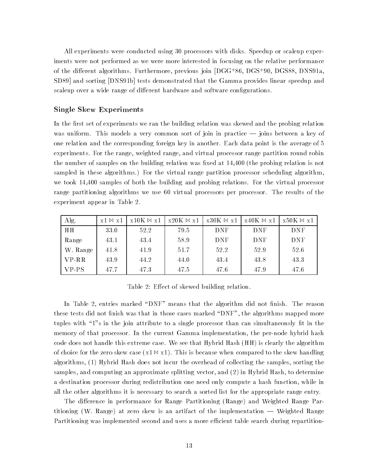All experiments were conducted using 30 processors with disks. Speedup or scaleup experiments were not performed as we were more interested in focusing on the relative performance of the different algorithms. Furthermore, previous join [DGG+86, DGS+90, DGS88, DNS91a,  $\,$ SD89] and sorting [DNS91b] tests demonstrated that the Gamma provides linear speedup and scaleup over a wide range of different hardware and software configurations.

### Single Skew Experiments

In the first set of experiments we ran the building relation was skewed and the probing relation was uniform. This models a very common sort of join in practice — joins between a key of one relation and the corresponding foreign key in another. Each data point is the average of 5 experiments. For the range, weighted range, and virtual processor range partition round robin the number of samples on the building relation was fixed at 14,400 (the probing relation is not sampled in these algorithms.) For the virtual range partition processor scheduling algorithm, we took 14,400 samples of both the building and probing relations. For the virtual processor range partitioning algorithms we use 60 virtual processors per processor. The results of the experiment appear in Table 2.

| Alg.     | $x1 \bowtie x1$ | $x10K \bowtie x1$ | $x20K \bowtie x1$ | $\vert$ x30K $\bowtie$ x1 | $\vert$ x40K $\bowtie$ x1 | $x50K \bowtie x1$ |
|----------|-----------------|-------------------|-------------------|---------------------------|---------------------------|-------------------|
| HH       | 33.0            | 52.2              | 79.5              | DNF                       | DNF                       | <b>DNF</b>        |
| Range    | 43.1            | 43.4              | 58.9              | <b>DNF</b>                | DNF                       | DNF               |
| W. Range | 41.8            | 41.9              | 51.7              | 52.2                      | 52.9                      | 52.6              |
| $VP-RR$  | 43.9            | 44.2              | 44.0              | 43.4                      | 43.8                      | 43.3              |
| $VP-PS$  | 47.7            | 47.3              | 47.5              | 47.6                      | 47.9                      | 47.6              |

Table 2: Effect of skewed building relation.

In Table 2, entries marked "DNF" means that the algorithm did not finish. The reason these tests did not finish was that in those cases marked "DNF", the algorithms mapped more tuples with "1"s in the join attribute to a single processor than can simultaneously fit in the memory of that processor. In the current Gamma implementation, the per-node hybrid hash code does not handle this extreme case. We see that Hybrid Hash (HH) is clearly the algorithm of choice for the zero skew case  $(x_1 \bowtie x_1)$ . This is because when compared to the skew handling algorithms, (1) Hybrid Hash does not incur the overhead of collecting the samples, sorting the samples, and computing an approximate splitting vector, and (2) in Hybrid Hash, to determine a destination processor during redistribution one need only compute a hash function, while in all the other algorithms it is necessary to search a sorted list for the appropriate range entry.

The difference in performance for Range Partitioning (Range) and Weighted Range Partitioning (W. Range) at zero skew is an artifact of the implementation — Weighted Range Partitioning was implemented second and uses a more efficient table search during repartition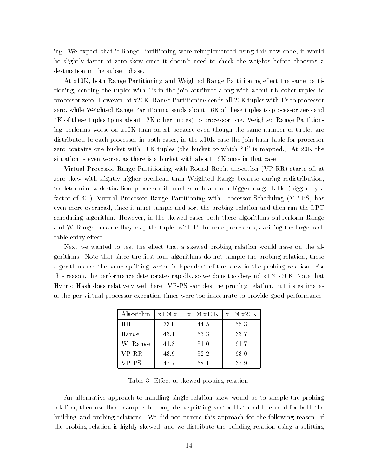ing. We expect that if Range Partitioning were reimplemented using this new code, it would be slightly faster at zero skew since it doesn't need to check the weights before choosing a destination in the subset phase.

At x10K, both Range Partitioning and Weighted Range Partitioning effect the same partitioning, sending the tuples with 1's in the join attribute along with about 6K other tuples to processor zero. However, at x20K, Range Partitioning sends all 20K tuples with 1's to processor zero, while Weighted Range Partitioning sends about 16K of these tuples to processor zero and 4K of these tuples (plus about 12K other tuples) to processor one. Weighted Range Partitioning performs worse on x10K than on x1 because even though the same number of tuples are distributed to each processor in both cases, in the x10K case the join hash table for processor zero contains one bucket with 10K tuples (the bucket to which \1" is mapped.) At 20K the situation is even worse, as there is a bucket with about 16K ones in that case.

Virtual Processor Range Partitioning with Round Robin allocation (VP-RR) starts off at zero skew with slightly higher overhead than Weighted Range because during redistribution, to determine a destination processor it must searchamuch bigger range table (bigger by a factor of 60.) Virtual Processor Range Partitioning with Processor Scheduling (VP-PS) has even more overhead, since it must sample and sort the probing relation and then run the LPT scheduling algorithm. However, in the skewed cases both these algorithms outperform Range and W. Range because they map the tuples with 1's to more processors, avoiding the large hash table entry effect.

Next we wanted to test the effect that a skewed probing relation would have on the algorithms. Note that since the first four algorithms do not sample the probing relation, these algorithms use the same splitting vector independent of the skew in the probing relation. For this reason, the performance deteriorates rapidly, so we do not go beyond  $x1 \bowtie x20K$ . Note that Hybrid Hash does relatively well here. VP-PS samples the probing relation, but its estimates of the per virtual processor execution times were too inaccurate to provide good performance.

| Algorithm      | $x1 \bowtie x1$ | $x1 \bowtie x10K$ | $x1 \bowtie x20K$ |  |
|----------------|-----------------|-------------------|-------------------|--|
| H <sub>H</sub> | 33.0            | 44.5              | 55.3              |  |
| Range          | 43.1            | 53.3              | 63.7              |  |
| W. Range       | 41.8            | 51.0              | 61.7              |  |
| $VP-RR$        | 43.9            | 52.2              | 63.0              |  |
| VP-PS          | 47.7            | 58.1              | 67.9              |  |

Table 3: Effect of skewed probing relation.

An alternative approach to handling single relation skew would be to sample the probing relation, then use these samples to compute a splitting vector that could be used for both the building and probing relations. We did not pursue this approach for the following reason: if the probing relation is highly skewed, and we distribute the building relation using a splitting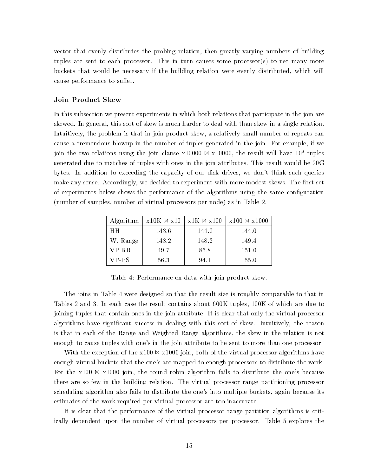vector that evenly distributes the probing relation, then greatly varying numbers of building tuples are sent to each processor. This in turn causes some processor(s) to use many more buckets that would be necessary if the building relation were evenly distributed, which will cause performance to suffer.

### Join Product Skew

In this subsection we present experiments in which both relations that participate in the join are skewed. In general, this sort of skew is much harder to deal with than skew in a single relation. Intuitively, the problem is that in join product skew, a relatively small number of repeats can cause a tremendous blowup in the number of tuples generated in the join. For example, if we join the two relations using the join clause  $x10000 \bowtie x10000$ , the result will have  $10^8$  tuples generated due to matches of tuples with ones in the join attributes. This result would be 20G bytes. In addition to exceeding the capacity of our disk drives, we don't think such queries make any sense. Accordingly, we decided to experiment with more modest skews. The first set of experiments below shows the performance of the algorithms using the same conguration (number of samples, number of virtual processors per node) as in Table 2.

| Algorithm | $x10K \bowtie x10$ | $x1K \bowtie x100$ | $x100 \bowtie x1000$ |
|-----------|--------------------|--------------------|----------------------|
| HН        | 143.6              | 144.0              | 144.0                |
| W. Range  | 148.2              | 148.2              | 149.4                |
| $VP-RR$   | 49.7               | 85.8               | 151.0                |
| $VP-PS$   | 56.3               | 94.1               | 155.0                |

Table 4: Performance on data with join product skew.

The joins in Table 4 were designed so that the result size is roughly comparable to that in Tables 2 and 3. In each case the result contains about 600K tuples, 100K of which are due to joining tuples that contain ones in the join attribute. It is clear that only the virtual processor algorithms have signicant success in dealing with this sort of skew. Intuitively, the reason is that in each of the Range and Weighted Range algorithms, the skew in the relation is not enough to cause tuples with one's in the join attribute to be sent to more than one processor.

With the exception of the  $x100 \bowtie x1000$  join, both of the virtual processor algorithms have enough virtual buckets that the one's are mapped to enough processors to distribute the work. For the  $x100 \bowtie x1000$  join, the round robin algorithm fails to distribute the one's because there are so few in the building relation. The virtual processor range partitioning processor scheduling algorithm also fails to distribute the one's into multiple buckets, again because its estimates of the work required per virtual processor are too inaccurate.

It is clear that the performance of the virtual processor range partition algorithms is critically dependent upon the number of virtual processors per processor. Table 5 explores the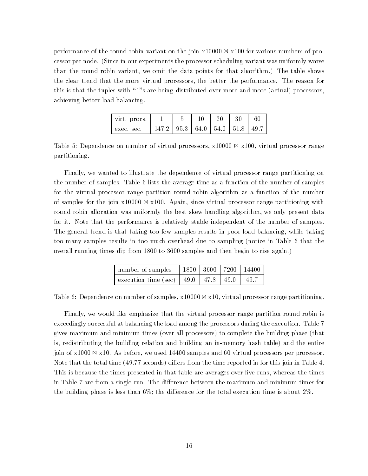performance of the round robin variant on the join  $x10000 \bowtie x100$  for various numbers of processor per node. (Since in our experiments the processor scheduling variant was uniformly worse than the round robin variant, we omit the data points for that algorithm.) The table shows the clear trend that the more virtual processors, the better the performance. The reason for this is that the tuples with \1"s are being distributed over more and more (actual) processors, achieving better load balancing.

| virt. procs. ' |                                          |  | -30 |  |
|----------------|------------------------------------------|--|-----|--|
| exec. sec.     | 147.2   95.3   64.0   54.0   51.8   49.7 |  |     |  |

Table 5: Dependence on number of virtual processors,  $x10000 \bowtie x100$ , virtual processor range partitioning.

Finally, we wanted to illustrate the dependence of virtual processor range partitioning on the number of samples. Table 6 lists the average time as a function of the number of samples for the virtual processor range partition round robin algorithm as a function of the number of samples for the join  $x10000 \bowtie x100$ . Again, since virtual processor range partitioning with round robin allocation was uniformly the best skew handling algorithm, we only present data for it. Note that the performance is relatively stable independent of the number of samples. The general trend is that taking too few samples results in poor load balancing, while taking too many samples results in too much overhead due to sampling (notice in Table 6 that the overall running times dip from 1800 to 3600 samples and then begin to rise again.)

| number of samples $\left  1800 \right  3600$   7200   14400 |  |  |
|-------------------------------------------------------------|--|--|
| execution time (sec)   49.0   47.8   49.0   49.7            |  |  |

Table 6: Dependence on number of samples,  $x10000 \bowtie x10$ , virtual processor range partitioning.

Finally, we would like emphasize that the virtual processor range partition round robin is exceedingly successful at balancing the load among the processors during the execution. Table 7 gives maximum and minimum times (over all processors) to complete the building phase (that is, redistributing the building relation and building an in-memory hash table) and the entire join of  $x1000 \bowtie x10$ . As before, we used 14400 samples and 60 virtual processors per processor. Note that the total time (49.77 seconds) differs from the time reported in for this join in Table 4. This is because the times presented in that table are averages over five runs, whereas the times in Table 7 are from a single run. The difference between the maximum and minimum times for the building phase is less than 6%; the difference for the total execution time is about 2%.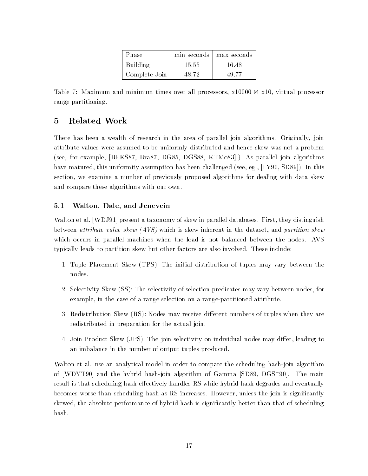| Phase         | min seconds | max seconds |
|---------------|-------------|-------------|
| Building      | 15.55       | 16.48       |
| Complete Join | 48.72       | 49.77       |

Table 7: Maximum and minimum times over all processors,  $x10000 \bowtie x10$ , virtual processor range partitioning.

# 5 Related Work

There has been a wealth of research in the area of parallel join algorithms. Originally, join attribute values were assumed to be uniformly distributed and hence skew was not a problem (see, for example, [BFKS87, Bra87, DG85, DGS88, KTMo83].) As parallel join algorithms have matured, this uniformity assumption has been challenged (see, eg., [LY90, SD89]). In this section, we examine a number of previously proposed algorithms for dealing with data skew and compare these algorithms with our own.

### 5.1 Walton, Dale, and Jenevein

Walton et al. [WDJ91] present a taxonomy of skew in parallel databases. First, they distinguish between *attribute value skew (AVS)* which is skew inherent in the dataset, and *partition skew* which occurs in parallel machines when the load is not balanced between the nodes. AVS typically leads to partition skew but other factors are also involved. These include:

- 1. Tuple Placement Skew (TPS): The initial distribution of tuples may vary between the nodes.
- 2. Selectivity Skew (SS): The selectivity of selection predicates may vary between nodes, for example, in the case of a range selection on a range-partitioned attribute.
- 3. Redistribution Skew (RS): Nodes may receive different numbers of tuples when they are redistributed in preparation for the actual join.
- 4. Join Product Skew (JPS): The join selectivity on individual nodes may differ, leading to an imbalance in the number of output tuples produced.

Walton et al. use an analytical model in order to compare the scheduling hash-join algorithm of [WDYT90] and the hybrid hash-join algorithm of Gamma [SD89, DGS+ 90]. The main result is that scheduling hash effectively handles RS while hybrid hash degrades and eventually becomes worse than scheduling hash as RS increases. However, unless the join is significantly skewed, the absolute performance of hybrid hash is significantly better than that of scheduling hash.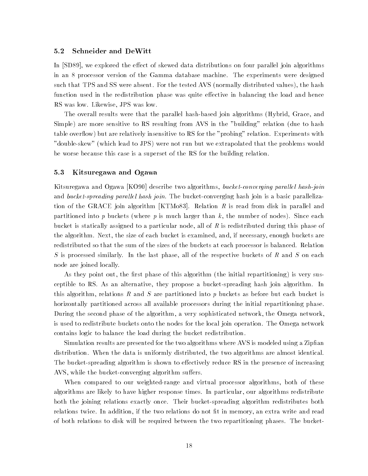#### 5.2 Schneider and DeWitt

In [SD89], we explored the effect of skewed data distributions on four parallel join algorithms in an 8 processor version of the Gamma database machine. The experiments were designed such that TPS and SS were absent. For the tested AVS (normally distributed values), the hash function used in the redistribution phase was quite effective in balancing the load and hence RS was low. Likewise, JPS was low.

The overall results were that the parallel hash-based join algorithms (Hybrid, Grace, and Simple) are more sensitive to RS resulting from AVS in the "building" relation (due to hash table overflow) but are relatively insensitive to RS for the "probing" relation. Experiments with "double-skew" (which lead to JPS) were not run but we extrapolated that the problems would be worse because this case is a superset of the RS for the building relation.

#### 5.3 Kitsuregawa and Ogawa

Kitsuregawa and Ogawa [KO90] describe two algorithms, *bucket-converging parallel hash-join* and bucket-spreading parallel hash join. The bucket-converging hash join is a basic parallelization of the GRACE join algorithm [KTMo83]. Relation  $R$  is read from disk in parallel and partitioned into p buckets (where p is much larger than k, the number of nodes). Since each bucket is statically assigned to a particular node, all of  $R$  is redistributed during this phase of the algorithm. Next, the size of each bucket is examined, and, if necessary, enough buckets are redistributed so that the sum of the sizes of the buckets at each processor is balanced. Relation S is processed similarly. In the last phase, all of the respective buckets of R and S on each node are joined locally.

As they point out, the first phase of this algorithm (the initial repartitioning) is very susceptible to RS. As an alternative, they propose a bucket-spreading hash join algorithm. In this algorithm, relations R and S are partitioned into p buckets as before but each bucket is horizontally partitioned across all available processors during the initial repartitioning phase. During the second phase of the algorithm, a very sophisticated network, the Omega network, is used to redistribute buckets onto the nodes for the local join operation. The Omega network contains logic to balance the load during the bucket redistribution.

Simulation results are presented for the two algorithms where AVS is modeled using a Zipfian distribution. When the data is uniformly distributed, the two algorithms are almost identical. The bucket-spreading algorithm is shown to effectively reduce RS in the presence of increasing AVS, while the bucket-converging algorithm suffers.

When compared to our weighted-range and virtual processor algorithms, both of these algorithms are likely to have higher response times. In particular, our algorithms redistribute both the joining relations exactly once. Their bucket-spreading algorithm redistributes both relations twice. In addition, if the two relations do not fit in memory, an extra write and read of both relations to disk will be required between the two repartitioning phases. The bucket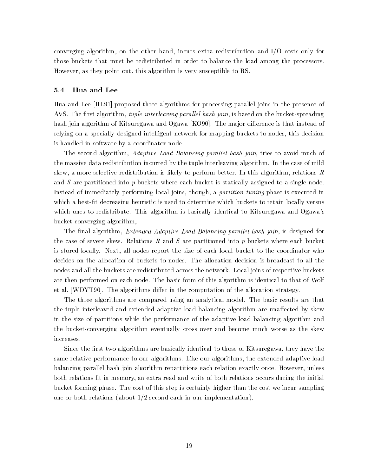converging algorithm, on the other hand, incurs extra redistribution and I/O costs only for those buckets that must be redistributed in order to balance the load among the processors. However, as they point out, this algorithm is very susceptible to RS.

### 5.4 Hua and Lee

Hua and Lee [HL91] proposed three algorithms for processing parallel joins in the presence of AVS. The first algorithm, *tuple interleaving parallel hash join*, is based on the bucket-spreading hash join algorithm of Kitsuregawa and Ogawa [KO90]. The major difference is that instead of relying on a specially designed intelligent network for mapping buckets to nodes, this decision is handled in software by a coordinator node.

The second algorithm, *Adaptive Load Balancing parallel hash join*, tries to avoid much of the massive data redistribution incurred by the tuple interleaving algorithm. In the case of mild skew, a more selective redistribution is likely to perform better. In this algorithm, relations  $R$ and S are partitioned into p buckets where each bucket is statically assigned to a single node. Instead of immediately performing local joins, though, a *partition tuning* phase is executed in which a best-fit decreasing heuristic is used to determine which buckets to retain locally versus which ones to redistribute. This algorithm is basically identical to Kitsuregawa and Ogawa's bucket-converging algorithm,

The final algorithm, *Extended Adaptive Load Balancing parallel hash join*, is designed for the case of severe skew. Relations R and S are partitioned into p buckets where each bucket is stored locally. Next, all nodes report the size of each local bucket to the coordinator who decides on the allocation of buckets to nodes. The allocation decision is broadcast to all the nodes and all the buckets are redistributed across the network. Local joins of respective buckets are then performed on each node. The basic form of this algorithm is identical to that of Wolf et al. [WDYT90]. The algorithms differ in the computation of the allocation strategy.

The three algorithms are compared using an analytical model. The basic results are that the tuple interleaved and extended adaptive load balancing algorithm are unaffected by skew in the size of partitions while the performance of the adaptive load balancing algorithm and the bucket-converging algorithm eventually cross over and become much worse as the skew increases.

Since the first two algorithms are basically identical to those of Kitsuregawa, they have the same relative performance to our algorithms. Like our algorithms, the extended adaptive load balancing parallel hash join algorithm repartitions each relation exactly once. However, unless both relations fit in memory, an extra read and write of both relations occurs during the initial bucket forming phase. The cost of this step is certainly higher than the cost we incur sampling one or both relations (about 1/2 second each in our implementation).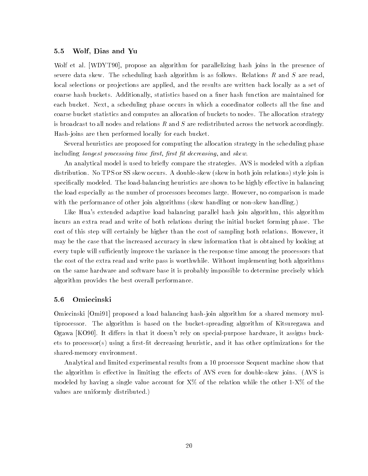### 5.5 Wolf, Dias and Yu

Wolf et al. [WDYT90], propose an algorithm for parallelizing hash joins in the presence of severe data skew. The scheduling hash algorithm is as follows. Relations  $R$  and  $S$  are read, local selections or pro jections are applied, and the results are written back locally as a set of coarse hash buckets. Additionally, statistics based on a finer hash function are maintained for each bucket. Next, a scheduling phase occurs in which a coordinator collects all the fine and coarse bucket statistics and computes an allocation of buckets to nodes. The allocation strategy is broadcast to all nodes and relations  $R$  and  $S$  are redistributed across the network accordingly. Hash-joins are then performed locally for each bucket.

Several heuristics are proposed for computing the allocation strategy in the scheduling phase including longest processing time first, first fit decreasing, and skew.

An analytical model is used to briefly compare the strategies. AVS is modeled with a zipfian distribution. No TPS or SS skew occurs. A double-skew (skew in both join relations) style join is specifically modeled. The load-balancing heuristics are shown to be highly effective in balancing the load especially as the number of processors becomes large. However, no comparison is made with the performance of other join algorithms (skew handling or non-skew handling.)

Like Hua's extended adaptive load balancing parallel hash join algorithm, this algorithm incurs an extra read and write of both relations during the initial bucket forming phase. The cost of this step will certainly be higher than the cost of sampling both relations. However, it may be the case that the increased accuracy in skew information that is obtained by looking at every tuple will sufficiently improve the variance in the response time among the processors that the cost of the extra read and write pass is worthwhile. Without implementing both algorithms on the same hardware and software base it is probably impossible to determine precisely which algorithm provides the best overall performance.

### 5.6 Omiecinski

Omiecinski [Omi91] proposed a load balancing hash-join algorithm for a shared memory multiprocessor. The algorithm is based on the bucket-spreading algorithm of Kitsuregawa and Ogawa [KO90]. It differs in that it doesn't rely on special-purpose hardware, it assigns buckets to processor(s) using a first-fit decreasing heuristic, and it has other optimizations for the shared-memory environment.

Analytical and limited experimental results from a 10 processor Sequent machine show that the algorithm is effective in limiting the effects of AVS even for double-skew joins. (AVS is modeled by having a single value account for X% of the relation while the other 1-X% of the values are uniformly distributed.)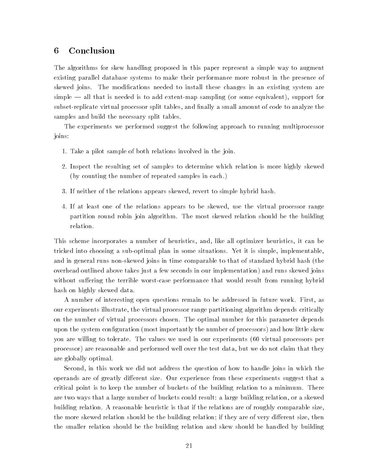## 6 Conclusion

The algorithms for skew handling proposed in this paper represent a simple way to augment existing parallel database systems to make their performance more robust in the presence of skewed joins. The modications needed to install these changes in an existing system are simple — all that is needed is to add extent-map sampling (or some equivalent), support for subset-replicate virtual processor split tables, and finally a small amount of code to analyze the samples and build the necessary split tables.

The experiments we performed suggest the following approach to running multiprocessor joins:

- 1. Take a pilot sample of both relations involved in the join.
- 2. Inspect the resulting set of samples to determine which relation is more highly skewed (by counting the number of repeated samples in each.)
- 3. If neither of the relations appears skewed, revert to simple hybrid hash.
- 4. If at least one of the relations appears to be skewed, use the virtual processor range partition round robin join algorithm. The most skewed relation should be the building relation.

This scheme incorporates a number of heuristics, and, like all optimizer heuristics, it can be tricked into choosing a sub-optimal plan in some situations. Yet it is simple, implementable, and in general runs non-skewed joins in time comparable to that of standard hybrid hash (the overhead outlined above takes just a few seconds in our implementation) and runs skewed joins without suffering the terrible worst-case performance that would result from running hybrid hash on highly skewed data.

A number of interesting open questions remain to be addressed in future work. First, as our experiments illustrate, the virtual processor range partitioning algorithm depends critically on the number of virtual processors chosen. The optimal number for this parameter depends upon the system configuration (most importantly the number of processors) and how little skew you are willing to tolerate. The values we used in our experiments (60 virtual processors per processor) are reasonable and performed well over the test data, but we do not claim that they are globally optimal.

Second, in this work we did not address the question of how to handle joins in which the operands are of greatly different size. Our experience from these experiments suggest that a critical point is to keep the number of buckets of the building relation to a minimum. There are two ways that a large number of buckets could result: a large building relation, or a skewed building relation. A reasonable heuristic is that if the relations are of roughly comparable size, the more skewed relation should be the building relation; if they are of very different size, then the smaller relation should be the building relation and skew should be handled by building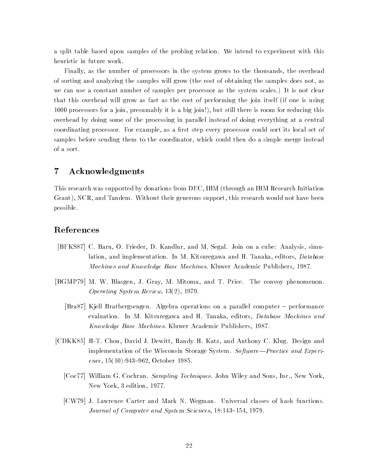a split table based upon samples of the probing relation. We intend to experiment with this heuristic in future work.

Finally, as the number of processors in the system grows to the thousands, the overhead of sorting and analyzing the samples will grow (the cost of obtaining the samples does not, as we can use a constant number of samples per processor as the system scales.) It is not clear that this overhead will grow as fast as the cost of performing the join itself (if one is using 1000 processors for a join, presumably it is a big join!), but still there is room for reducing this overhead by doing some of the processing in parallel instead of doing everything at a central coordinating processor. For example, as a first step every processor could sort its local set of samples before sending them to the coordinator, which could then do a simple merge instead of a sort.

# 7 Acknowledgments

This research was supported by donations from DEC, IBM (through an IBM Research Initiation Grant), NCR, and Tandem. Without their generous support, this research would not have been possible.

# References

- [BFKS87] C. Baru, O. Frieder, D. Kandlur, and M. Segal. Join on a cube: Analysis, simulation, and implementation. In M. Kitsuregawa and H. Tanaka, editors, *Database* Machines and Knowledge Base Machines. Kluwer Academic Publishers, 1987.
- [BGMP79] M. W. Blasgen, J. Gray, M. Mitoma, and T. Price. The convoy phenomenon. Operating System Review, 13(2), 1979.
	- [Bra87] Kjell Bratbergsengen. Algebra operations on a parallel computer { performance evaluation. In M. Kitsuregawa and H. Tanaka, editors, Database Machines and Know ledge Base Machines. Kluwer Academic Publishers, 1987.
- [CDKK85] H-T. Chou, David J. Dewitt, Randy H. Katz, and Anthony C. Klug. Design and implementation of the Wisconsin Storage System. Software—Practice and Experience,  $15(10):943{-}962$ , October 1985.
	- [Coc77] William G. Cochran. Sampling Techniques. John Wiley and Sons, Inc., New York, New York, 3 edition, 1977.
	- [CW79] J. Lawrence Carter and Mark N. Wegman. Universal classes of hash functions. Journal of Computer and System Sciences, 18:143-154, 1979.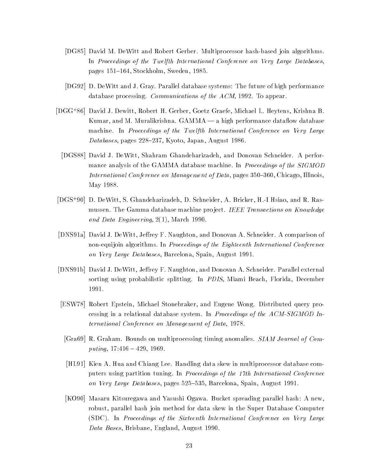- [DG85] David M. DeWitt and Robert Gerber. Multiprocessor hash-based join algorithms. In Proceedings of the Twelfth International Conference on Very Large Databases, pages 151-164, Stockholm, Sweden, 1985.
- [DG92] D. DeWitt and J. Gray. Parallel database systems: The future of high performance database processing. Communications of the ACM, 1992. To appear.
- [DGG+ 86] David J. Dewitt, Robert H. Gerber, Goetz Graefe, Michael L. Heytens, Krishna B. Kumar, and M. Muralikrishna.  $GAMMA - a$  high performance dataflow database machine. In Proceedings of the Twelfth International Conference on Very Large Databases, pages 228-237, Kyoto, Japan, August 1986.
- [DGS88] David J. DeWitt, Shahram Ghandeharizadeh, and Donovan Schneider. A performance analysis of the GAMMA database machine. In *Proceedings of the SIGMOD* International Conference on Management of Data, pages  $350{-}360$ , Chicago, Illinois, May 1988.
- [DGS+ 90] D. DeWitt, S. Ghandeharizadeh, D. Schneider, A. Bricker, H.-I Hsiao, and R. Rasmussen. The Gamma database machine project. IEEE Transactions on Knowledge and Data Engineering, 2(1), March 1990.
- [DNS91a] David J. DeWitt, Jeffrey F. Naughton, and Donovan A. Schneider. A comparison of non-equijoin algorithms. In Proceedings of the Eighteenth International Conference on Very Large Databases, Barcelona, Spain, August 1991.
- [DNS91b] David J. DeWitt, Jeffrey F. Naughton, and Donovan A. Schneider. Parallel external sorting using probabilistic splitting. In PDIS, Miami Beach, Florida, December
- [ESW78] Robert Epstein, Michael Stonebraker, and Eugene Wong. Distributed query processing in a relational database system. In Proceedings of the ACM-SIGMOD International Conference on Management of Data, 1978.
- [Gra69] R. Graham. Bounds on multiprocessing timing anomalies. SIAM Journal of Computing,  $17:416 - 429$ , 1969.
- [HL91] Kien A. Hua and Chiang Lee. Handling data skew in multiprocessor database computers using partition tuning. In Proceedings of the 17th International Conference on Very Large Databases, pages 525-535, Barcelona, Spain, August 1991.
- [KO90] Masaru Kitsuregawa and Yasushi Ogawa. Bucket spreading parallel hash: A new, robust, parallel hash join method for data skew in the Super Database Computer (SDC). In Proceedings of the Sixteenth International Conference on Very Large Data Bases, Brisbane, England, August 1990.